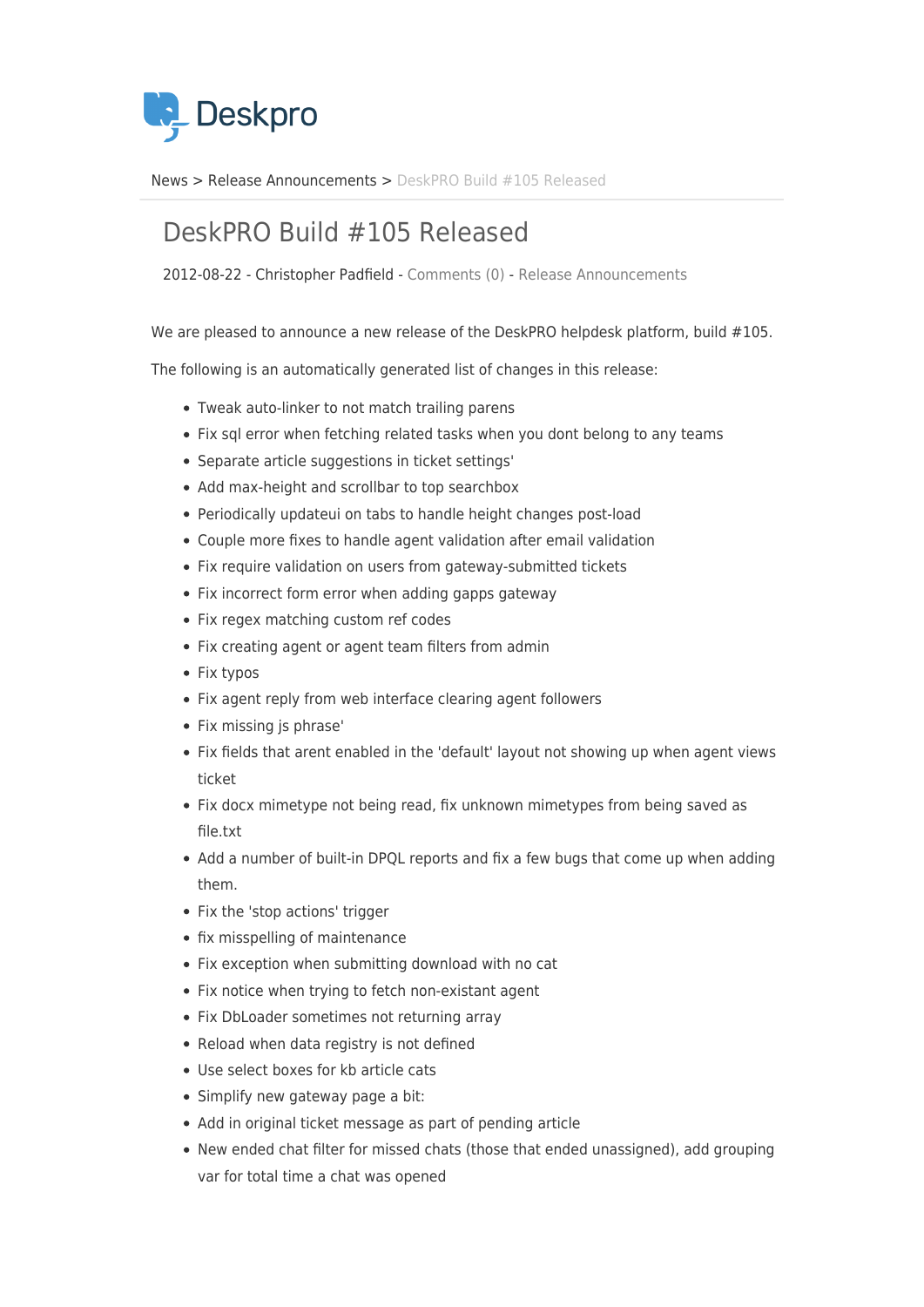

[News](https://support.deskpro.com/sv/news) > [Release Announcements](https://support.deskpro.com/sv/news/release-announcements) > [DeskPRO Build #105 Released](https://support.deskpro.com/sv/news/posts/deskpro-build-105-released)

## DeskPRO Build #105 Released

2012-08-22 - Christopher Padfield - [Comments \(0\)](#page--1-0) - [Release Announcements](https://support.deskpro.com/sv/news/release-announcements)

We are pleased to announce a new release of the DeskPRO helpdesk platform, build #105.

The following is an automatically generated list of changes in this release:

- Tweak auto-linker to not match trailing parens
- Fix sql error when fetching related tasks when you dont belong to any teams
- Separate article suggestions in ticket settings'
- Add max-height and scrollbar to top searchbox
- Periodically updateui on tabs to handle height changes post-load
- Couple more fixes to handle agent validation after email validation
- Fix require validation on users from gateway-submitted tickets
- Fix incorrect form error when adding gapps gateway
- Fix regex matching custom ref codes
- Fix creating agent or agent team filters from admin
- Fix typos
- Fix agent reply from web interface clearing agent followers
- Fix missing is phrase'
- Fix fields that arent enabled in the 'default' layout not showing up when agent views ticket
- Fix docx mimetype not being read, fix unknown mimetypes from being saved as file.txt
- Add a number of built-in DPOL reports and fix a few bugs that come up when adding them.
- Fix the 'stop actions' trigger
- fix misspelling of maintenance
- Fix exception when submitting download with no cat
- Fix notice when trying to fetch non-existant agent
- Fix DbLoader sometimes not returning array
- Reload when data registry is not defined
- Use select boxes for kb article cats
- Simplify new gateway page a bit:
- Add in original ticket message as part of pending article
- New ended chat filter for missed chats (those that ended unassigned), add grouping var for total time a chat was opened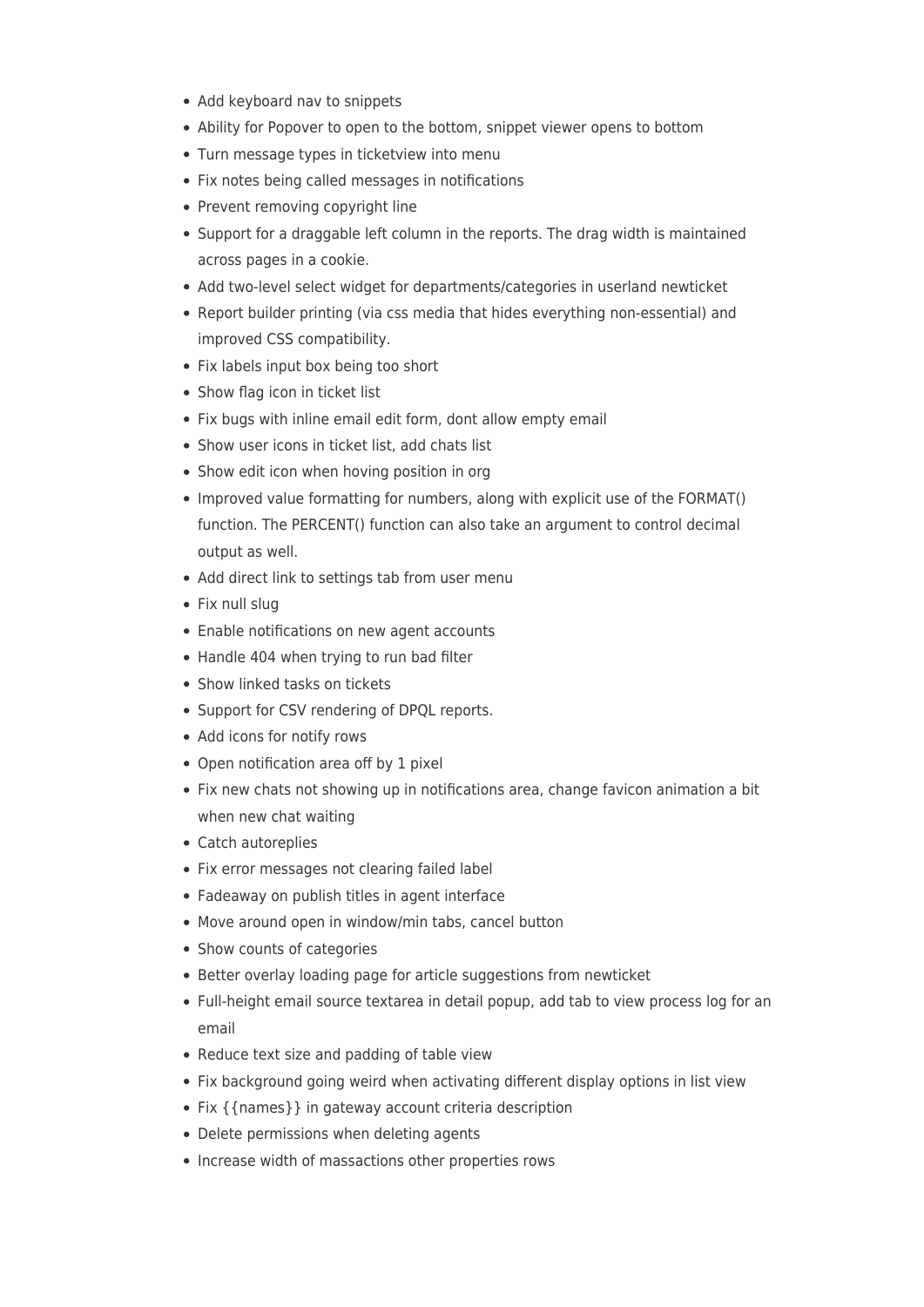- Add keyboard nav to snippets
- Ability for Popover to open to the bottom, snippet viewer opens to bottom
- Turn message types in ticketview into menu
- Fix notes being called messages in notifications
- Prevent removing copyright line
- Support for a draggable left column in the reports. The drag width is maintained across pages in a cookie.
- Add two-level select widget for departments/categories in userland newticket
- Report builder printing (via css media that hides everything non-essential) and improved CSS compatibility.
- Fix labels input box being too short
- Show flag icon in ticket list
- Fix bugs with inline email edit form, dont allow empty email
- Show user icons in ticket list, add chats list
- Show edit icon when hoving position in org
- Improved value formatting for numbers, along with explicit use of the FORMAT() function. The PERCENT() function can also take an argument to control decimal output as well.
- Add direct link to settings tab from user menu
- Fix null slug
- Enable notifications on new agent accounts
- Handle 404 when trying to run bad filter
- Show linked tasks on tickets
- Support for CSV rendering of DPQL reports.
- Add icons for notify rows
- Open notification area off by 1 pixel
- Fix new chats not showing up in notifications area, change favicon animation a bit when new chat waiting
- Catch autoreplies
- Fix error messages not clearing failed label
- Fadeaway on publish titles in agent interface
- Move around open in window/min tabs, cancel button
- Show counts of categories
- Better overlay loading page for article suggestions from newticket
- Full-height email source textarea in detail popup, add tab to view process log for an email
- Reduce text size and padding of table view
- Fix background going weird when activating different display options in list view
- Fix { {names} } in gateway account criteria description
- Delete permissions when deleting agents
- Increase width of massactions other properties rows